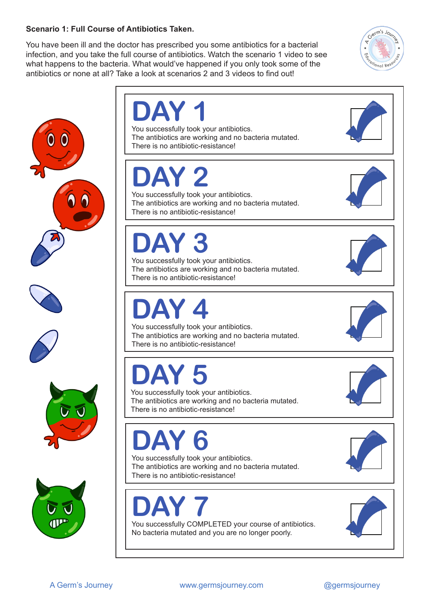#### **Scenario 1: Full Course of Antibiotics Taken.**

You have been ill and the doctor has prescribed you some antibiotics for a bacterial infection, and you take the full course of antibiotics. Watch the scenario 1 video to see what happens to the bacteria. What would've happened if you only took some of the antibiotics or none at all? Take a look at scenarios 2 and 3 videos to find out!





A Germ's Journey www.germsjourney.com @germsjourney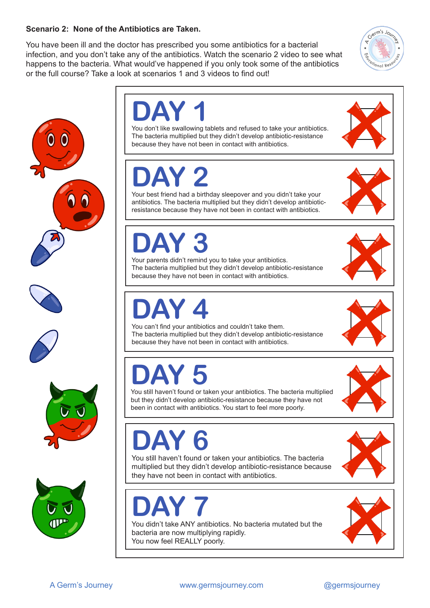#### **Scenario 2: None of the Antibiotics are Taken.**

You have been ill and the doctor has prescribed you some antibiotics for a bacterial infection, and you don't take any of the antibiotics. Watch the scenario 2 video to see what happens to the bacteria. What would've happened if you only took some of the antibiotics or the full course? Take a look at scenarios 1 and 3 videos to find out!













# **DAY 1**

You don't like swallowing tablets and refused to take your antibiotics. The bacteria multiplied but they didn't develop antibiotic-resistance because they have not been in contact with antibiotics.

# **DAY 2**

Your best friend had a birthday sleepover and you didn't take your antibiotics. The bacteria multiplied but they didn't develop antibioticresistance because they have not been in contact with antibiotics.

### **DAY 3**

Your parents didn't remind you to take your antibiotics. The bacteria multiplied but they didn't develop antibiotic-resistance because they have not been in contact with antibiotics.

### **DAY 4**

You can't find your antibiotics and couldn't take them. The bacteria multiplied but they didn't develop antibiotic-resistance because they have not been in contact with antibiotics.

### **DAY 5**

You still haven't found or taken your antibiotics. The bacteria multiplied but they didn't develop antibiotic-resistance because they have not been in contact with antibiotics. You start to feel more poorly.



### **DAY 6**

You still haven't found or taken your antibiotics. The bacteria multiplied but they didn't develop antibiotic-resistance because they have not been in contact with antibiotics.



## **DAY 7**

You didn't take ANY antibiotics. No bacteria mutated but the bacteria are now multiplying rapidly. You now feel REALLY poorly.